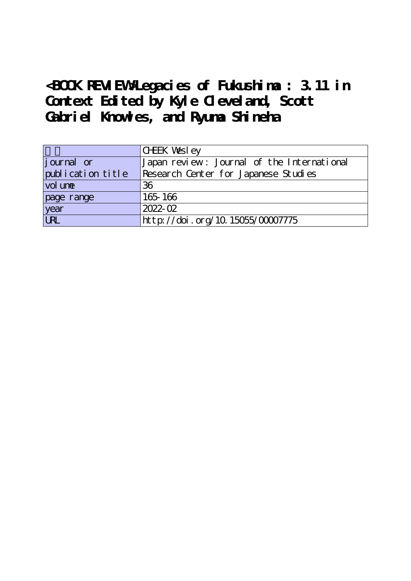**<BOOK REVIEW>Legacies of Fukushima : 3.11 in Context Edited by Kyle Cleveland, Scott Gabriel Knowles, and Ryuma Shineha**

|                   | CHEK Wesley                                |
|-------------------|--------------------------------------------|
| journal or        | Japan review: Journal of the International |
| publication title | Research Center for Japanese Studies       |
| vol une           | 36                                         |
| page range        | 165-166                                    |
| year              | 2022-02                                    |
| URL               | http://doi.org/10.15055/00007775           |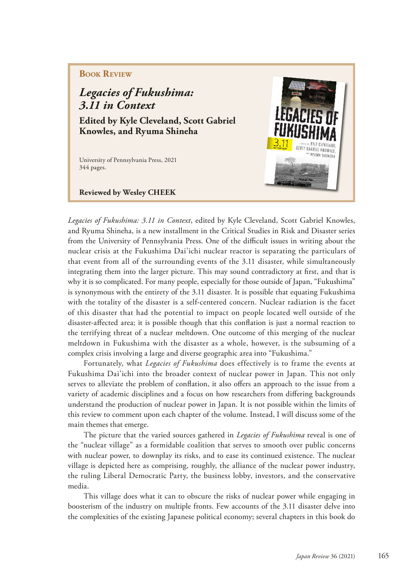## **Book Review**

## *Legacies of Fukushima: 3.11 in Context*

**Edited by Kyle Cleveland, Scott Gabriel Knowles, and Ryuma Shineha**

University of Pennsylvania Press, 2021 344 pages.

**Reviewed by Wesley CHEEK** 



*Legacies of Fukushima: 3.11 in Context*, edited by Kyle Cleveland, Scott Gabriel Knowles, and Ryuma Shineha, is a new installment in the Critical Studies in Risk and Disaster series from the University of Pennsylvania Press. One of the difficult issues in writing about the nuclear crisis at the Fukushima Dai'ichi nuclear reactor is separating the particulars of that event from all of the surrounding events of the 3.11 disaster, while simultaneously integrating them into the larger picture. This may sound contradictory at frst, and that is why it is so complicated. For many people, especially for those outside of Japan, "Fukushima" is synonymous with the entirety of the 3.11 disaster. It is possible that equating Fukushima with the totality of the disaster is a self-centered concern. Nuclear radiation is the facet of this disaster that had the potential to impact on people located well outside of the disaster-afected area; it is possible though that this confation is just a normal reaction to the terrifying threat of a nuclear meltdown. One outcome of this merging of the nuclear meltdown in Fukushima with the disaster as a whole, however, is the subsuming of a complex crisis involving a large and diverse geographic area into "Fukushima."

Fortunately, what *Legacies of Fukushima* does effectively is to frame the events at Fukushima Dai'ichi into the broader context of nuclear power in Japan. This not only serves to alleviate the problem of confation, it also ofers an approach to the issue from a variety of academic disciplines and a focus on how researchers from difering backgrounds understand the production of nuclear power in Japan. It is not possible within the limits of this review to comment upon each chapter of the volume. Instead, I will discuss some of the main themes that emerge.

The picture that the varied sources gathered in *Legacies of Fukushima* reveal is one of the "nuclear village" as a formidable coalition that serves to smooth over public concerns with nuclear power, to downplay its risks, and to ease its continued existence. The nuclear village is depicted here as comprising, roughly, the alliance of the nuclear power industry, the ruling Liberal Democratic Party, the business lobby, investors, and the conservative media.

This village does what it can to obscure the risks of nuclear power while engaging in boosterism of the industry on multiple fronts. Few accounts of the 3.11 disaster delve into the complexities of the existing Japanese political economy; several chapters in this book do